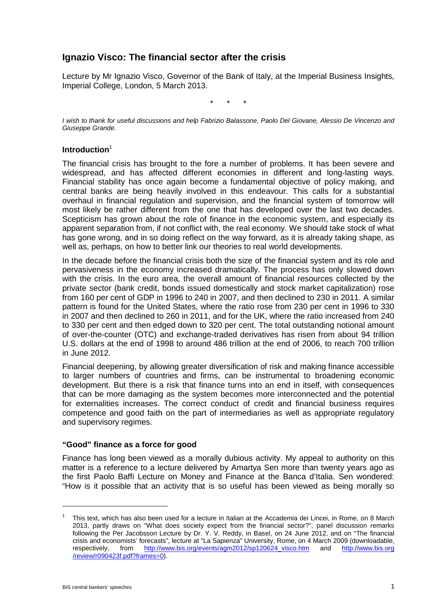# **Ignazio Visco: The financial sector after the crisis**

Lecture by Mr Ignazio Visco, Governor of the Bank of Italy, at the Imperial Business Insights, Imperial College, London, 5 March 2013.

\* \* \*

*I wish to thank for useful discussions and help Fabrizio Balassone, Paolo Del Giovane, Alessio De Vincenzo and Giuseppe Grande.*

#### **Introduction**<sup>1</sup>

The financial crisis has brought to the fore a number of problems. It has been severe and widespread, and has affected different economies in different and long-lasting ways. Financial stability has once again become a fundamental objective of policy making, and central banks are being heavily involved in this endeavour. This calls for a substantial overhaul in financial regulation and supervision, and the financial system of tomorrow will most likely be rather different from the one that has developed over the last two decades. Scepticism has grown about the role of finance in the economic system, and especially its apparent separation from, if not conflict with, the real economy. We should take stock of what has gone wrong, and in so doing reflect on the way forward, as it is already taking shape, as well as, perhaps, on how to better link our theories to real world developments.

In the decade before the financial crisis both the size of the financial system and its role and pervasiveness in the economy increased dramatically. The process has only slowed down with the crisis. In the euro area, the overall amount of financial resources collected by the private sector (bank credit, bonds issued domestically and stock market capitalization) rose from 160 per cent of GDP in 1996 to 240 in 2007, and then declined to 230 in 2011. A similar pattern is found for the United States, where the ratio rose from 230 per cent in 1996 to 330 in 2007 and then declined to 260 in 2011, and for the UK, where the ratio increased from 240 to 330 per cent and then edged down to 320 per cent. The total outstanding notional amount of over-the-counter (OTC) and exchange-traded derivatives has risen from about 94 trillion U.S. dollars at the end of 1998 to around 486 trillion at the end of 2006, to reach 700 trillion in June 2012.

Financial deepening, by allowing greater diversification of risk and making finance accessible to larger numbers of countries and firms, can be instrumental to broadening economic development. But there is a risk that finance turns into an end in itself, with consequences that can be more damaging as the system becomes more interconnected and the potential for externalities increases. The correct conduct of credit and financial business requires competence and good faith on the part of intermediaries as well as appropriate regulatory and supervisory regimes.

#### **"Good" finance as a force for good**

Finance has long been viewed as a morally dubious activity. My appeal to authority on this matter is a reference to a lecture delivered by Amartya Sen more than twenty years ago as the first Paolo Baffi Lecture on Money and Finance at the Banca d'Italia. Sen wondered: "How is it possible that an activity that is so useful has been viewed as being morally so

<sup>1</sup> This text, which has also been used for a lecture in Italian at the Accademia dei Lincei, in Rome, on 8 March 2013, partly draws on "What does society expect from the financial sector?", panel discussion remarks following the Per Jacobsson Lecture by Dr. Y. V. Reddy, in Basel, on 24 June 2012, and on "The financial crisis and economists' forecasts", lecture at "La Sapienza" University, Rome, on 4 March 2009 (downloadable, respectively, from http://www.bis.org/events/agm2012/sp120624\_visco.htm and http://www.bis.org respectively, from [http://www.bis.org/events/agm2012/sp120624\\_visco.htm](http://www.bis.org/events/agm2012/sp120624_visco.htm) [/review/r090423f.pdf?frames=0\)](http://www.bis.org/review/r090423f.pdf?frames=0).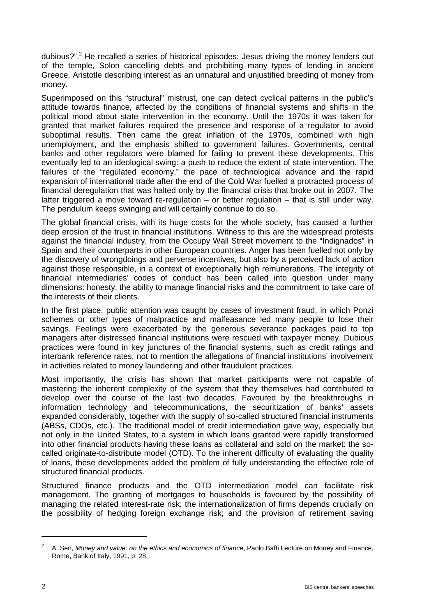dubious?". <sup>2</sup> He recalled a series of historical episodes: Jesus driving the money lenders out of the temple, Solon cancelling debts and prohibiting many types of lending in ancient Greece, Aristotle describing interest as an unnatural and unjustified breeding of money from money.

Superimposed on this "structural" mistrust, one can detect cyclical patterns in the public's attitude towards finance, affected by the conditions of financial systems and shifts in the political mood about state intervention in the economy. Until the 1970s it was taken for granted that market failures required the presence and response of a regulator to avoid suboptimal results. Then came the great inflation of the 1970s, combined with high unemployment, and the emphasis shifted to government failures. Governments, central banks and other regulators were blamed for failing to prevent these developments. This eventually led to an ideological swing: a push to reduce the extent of state intervention. The failures of the "regulated economy," the pace of technological advance and the rapid expansion of international trade after the end of the Cold War fuelled a protracted process of financial deregulation that was halted only by the financial crisis that broke out in 2007. The latter triggered a move toward re-regulation – or better regulation – that is still under way. The pendulum keeps swinging and will certainly continue to do so.

The global financial crisis, with its huge costs for the whole society, has caused a further deep erosion of the trust in financial institutions. Witness to this are the widespread protests against the financial industry, from the Occupy Wall Street movement to the "Indignados" in Spain and their counterparts in other European countries. Anger has been fuelled not only by the discovery of wrongdoings and perverse incentives, but also by a perceived lack of action against those responsible, in a context of exceptionally high remunerations. The integrity of financial intermediaries' codes of conduct has been called into question under many dimensions: honesty, the ability to manage financial risks and the commitment to take care of the interests of their clients.

In the first place, public attention was caught by cases of investment fraud, in which Ponzi schemes or other types of malpractice and malfeasance led many people to lose their savings. Feelings were exacerbated by the generous severance packages paid to top managers after distressed financial institutions were rescued with taxpayer money. Dubious practices were found in key junctures of the financial systems, such as credit ratings and interbank reference rates, not to mention the allegations of financial institutions' involvement in activities related to money laundering and other fraudulent practices.

Most importantly, the crisis has shown that market participants were not capable of mastering the inherent complexity of the system that they themselves had contributed to develop over the course of the last two decades. Favoured by the breakthroughs in information technology and telecommunications, the securitization of banks' assets expanded considerably, together with the supply of so-called structured financial instruments (ABSs, CDOs, etc.). The traditional model of credit intermediation gave way, especially but not only in the United States, to a system in which loans granted were rapidly transformed into other financial products having these loans as collateral and sold on the market: the socalled originate-to-distribute model (OTD). To the inherent difficulty of evaluating the quality of loans, these developments added the problem of fully understanding the effective role of structured financial products.

Structured finance products and the OTD intermediation model can facilitate risk management. The granting of mortgages to households is favoured by the possibility of managing the related interest-rate risk; the internationalization of firms depends crucially on the possibility of hedging foreign exchange risk; and the provision of retirement saving

<sup>2</sup> A. Sen, *Money and value: on the ethics and economics of finance*, Paolo Baffi Lecture on Money and Finance, Rome, Bank of Italy, 1991, p. 28.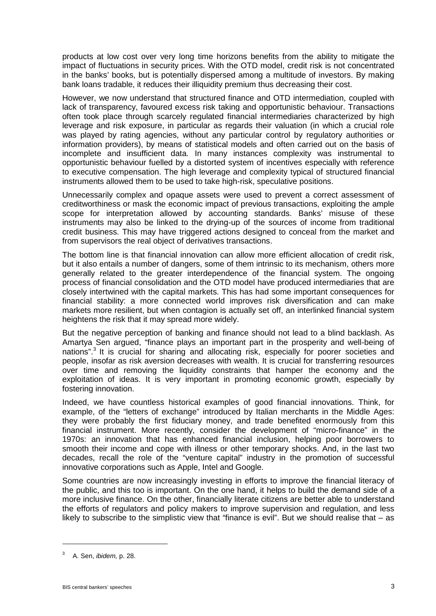products at low cost over very long time horizons benefits from the ability to mitigate the impact of fluctuations in security prices. With the OTD model, credit risk is not concentrated in the banks' books, but is potentially dispersed among a multitude of investors. By making bank loans tradable, it reduces their illiquidity premium thus decreasing their cost.

However, we now understand that structured finance and OTD intermediation, coupled with lack of transparency, favoured excess risk taking and opportunistic behaviour. Transactions often took place through scarcely regulated financial intermediaries characterized by high leverage and risk exposure, in particular as regards their valuation (in which a crucial role was played by rating agencies, without any particular control by regulatory authorities or information providers), by means of statistical models and often carried out on the basis of incomplete and insufficient data. In many instances complexity was instrumental to opportunistic behaviour fuelled by a distorted system of incentives especially with reference to executive compensation. The high leverage and complexity typical of structured financial instruments allowed them to be used to take high-risk, speculative positions.

Unnecessarily complex and opaque assets were used to prevent a correct assessment of creditworthiness or mask the economic impact of previous transactions, exploiting the ample scope for interpretation allowed by accounting standards. Banks' misuse of these instruments may also be linked to the drying-up of the sources of income from traditional credit business. This may have triggered actions designed to conceal from the market and from supervisors the real object of derivatives transactions.

The bottom line is that financial innovation can allow more efficient allocation of credit risk, but it also entails a number of dangers, some of them intrinsic to its mechanism, others more generally related to the greater interdependence of the financial system. The ongoing process of financial consolidation and the OTD model have produced intermediaries that are closely intertwined with the capital markets. This has had some important consequences for financial stability: a more connected world improves risk diversification and can make markets more resilient, but when contagion is actually set off, an interlinked financial system heightens the risk that it may spread more widely.

But the negative perception of banking and finance should not lead to a blind backlash. As Amartya Sen argued, "finance plays an important part in the prosperity and well-being of nations".<sup>3</sup> It is crucial for sharing and allocating risk, especially for poorer societies and people, insofar as risk aversion decreases with wealth. It is crucial for transferring resources over time and removing the liquidity constraints that hamper the economy and the exploitation of ideas. It is very important in promoting economic growth, especially by fostering innovation.

Indeed, we have countless historical examples of good financial innovations. Think, for example, of the "letters of exchange" introduced by Italian merchants in the Middle Ages: they were probably the first fiduciary money, and trade benefited enormously from this financial instrument. More recently, consider the development of "micro-finance" in the 1970s: an innovation that has enhanced financial inclusion, helping poor borrowers to smooth their income and cope with illness or other temporary shocks. And, in the last two decades, recall the role of the "venture capital" industry in the promotion of successful innovative corporations such as Apple, Intel and Google.

Some countries are now increasingly investing in efforts to improve the financial literacy of the public, and this too is important. On the one hand, it helps to build the demand side of a more inclusive finance. On the other, financially literate citizens are better able to understand the efforts of regulators and policy makers to improve supervision and regulation, and less likely to subscribe to the simplistic view that "finance is evil". But we should realise that – as

<u>.</u>

<sup>3</sup> A. Sen, *ibidem,* p. 28.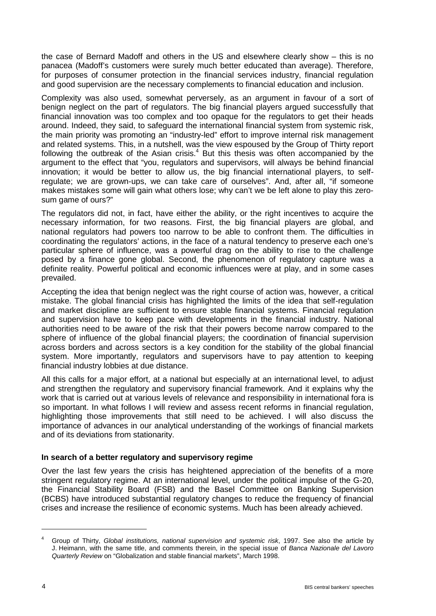the case of Bernard Madoff and others in the US and elsewhere clearly show – this is no panacea (Madoff's customers were surely much better educated than average). Therefore, for purposes of consumer protection in the financial services industry, financial regulation and good supervision are the necessary complements to financial education and inclusion.

Complexity was also used, somewhat perversely, as an argument in favour of a sort of benign neglect on the part of regulators. The big financial players argued successfully that financial innovation was too complex and too opaque for the regulators to get their heads around. Indeed, they said, to safeguard the international financial system from systemic risk, the main priority was promoting an "industry-led" effort to improve internal risk management and related systems. This, in a nutshell, was the view espoused by the Group of Thirty report following the outbreak of the Asian crisis.<sup>4</sup> But this thesis was often accompanied by the argument to the effect that "you, regulators and supervisors, will always be behind financial innovation; it would be better to allow us, the big financial international players, to selfregulate; we are grown-ups, we can take care of ourselves". And, after all, "if someone makes mistakes some will gain what others lose; why can't we be left alone to play this zerosum game of ours?"

The regulators did not, in fact, have either the ability, or the right incentives to acquire the necessary information, for two reasons. First, the big financial players are global, and national regulators had powers too narrow to be able to confront them. The difficulties in coordinating the regulators' actions, in the face of a natural tendency to preserve each one's particular sphere of influence, was a powerful drag on the ability to rise to the challenge posed by a finance gone global. Second, the phenomenon of regulatory capture was a definite reality. Powerful political and economic influences were at play, and in some cases prevailed.

Accepting the idea that benign neglect was the right course of action was, however, a critical mistake. The global financial crisis has highlighted the limits of the idea that self-regulation and market discipline are sufficient to ensure stable financial systems. Financial regulation and supervision have to keep pace with developments in the financial industry. National authorities need to be aware of the risk that their powers become narrow compared to the sphere of influence of the global financial players; the coordination of financial supervision across borders and across sectors is a key condition for the stability of the global financial system. More importantly, regulators and supervisors have to pay attention to keeping financial industry lobbies at due distance.

All this calls for a major effort, at a national but especially at an international level, to adjust and strengthen the regulatory and supervisory financial framework. And it explains why the work that is carried out at various levels of relevance and responsibility in international fora is so important. In what follows I will review and assess recent reforms in financial regulation, highlighting those improvements that still need to be achieved. I will also discuss the importance of advances in our analytical understanding of the workings of financial markets and of its deviations from stationarity.

## **In search of a better regulatory and supervisory regime**

Over the last few years the crisis has heightened appreciation of the benefits of a more stringent regulatory regime. At an international level, under the political impulse of the G-20, the Financial Stability Board (FSB) and the Basel Committee on Banking Supervision (BCBS) have introduced substantial regulatory changes to reduce the frequency of financial crises and increase the resilience of economic systems. Much has been already achieved.

<sup>4</sup> Group of Thirty, *Global institutions, national supervision and systemic risk*, 1997. See also the article by J. Heimann, with the same title, and comments therein, in the special issue of *Banca Nazionale del Lavoro Quarterly Review* on "Globalization and stable financial markets", March 1998.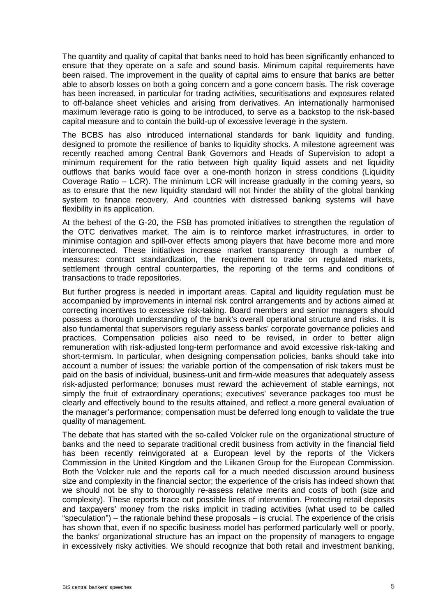The quantity and quality of capital that banks need to hold has been significantly enhanced to ensure that they operate on a safe and sound basis. Minimum capital requirements have been raised. The improvement in the quality of capital aims to ensure that banks are better able to absorb losses on both a going concern and a gone concern basis. The risk coverage has been increased, in particular for trading activities, securitisations and exposures related to off-balance sheet vehicles and arising from derivatives. An internationally harmonised maximum leverage ratio is going to be introduced, to serve as a backstop to the risk-based capital measure and to contain the build-up of excessive leverage in the system.

The BCBS has also introduced international standards for bank liquidity and funding, designed to promote the resilience of banks to liquidity shocks. A milestone agreement was recently reached among Central Bank Governors and Heads of Supervision to adopt a minimum requirement for the ratio between high quality liquid assets and net liquidity outflows that banks would face over a one-month horizon in stress conditions (Liquidity Coverage Ratio – LCR). The minimum LCR will increase gradually in the coming years, so as to ensure that the new liquidity standard will not hinder the ability of the global banking system to finance recovery. And countries with distressed banking systems will have flexibility in its application.

At the behest of the G-20, the FSB has promoted initiatives to strengthen the regulation of the OTC derivatives market. The aim is to reinforce market infrastructures, in order to minimise contagion and spill-over effects among players that have become more and more interconnected. These initiatives increase market transparency through a number of measures: contract standardization, the requirement to trade on regulated markets, settlement through central counterparties, the reporting of the terms and conditions of transactions to trade repositories.

But further progress is needed in important areas. Capital and liquidity regulation must be accompanied by improvements in internal risk control arrangements and by actions aimed at correcting incentives to excessive risk-taking. Board members and senior managers should possess a thorough understanding of the bank's overall operational structure and risks. It is also fundamental that supervisors regularly assess banks' corporate governance policies and practices. Compensation policies also need to be revised, in order to better align remuneration with risk-adjusted long-term performance and avoid excessive risk-taking and short-termism. In particular, when designing compensation policies, banks should take into account a number of issues: the variable portion of the compensation of risk takers must be paid on the basis of individual, business-unit and firm-wide measures that adequately assess risk-adjusted performance; bonuses must reward the achievement of stable earnings, not simply the fruit of extraordinary operations; executives' severance packages too must be clearly and effectively bound to the results attained, and reflect a more general evaluation of the manager's performance; compensation must be deferred long enough to validate the true quality of management.

The debate that has started with the so-called Volcker rule on the organizational structure of banks and the need to separate traditional credit business from activity in the financial field has been recently reinvigorated at a European level by the reports of the Vickers Commission in the United Kingdom and the Liikanen Group for the European Commission. Both the Volcker rule and the reports call for a much needed discussion around business size and complexity in the financial sector; the experience of the crisis has indeed shown that we should not be shy to thoroughly re-assess relative merits and costs of both (size and complexity). These reports trace out possible lines of intervention. Protecting retail deposits and taxpayers' money from the risks implicit in trading activities (what used to be called "speculation") – the rationale behind these proposals – is crucial. The experience of the crisis has shown that, even if no specific business model has performed particularly well or poorly, the banks' organizational structure has an impact on the propensity of managers to engage in excessively risky activities. We should recognize that both retail and investment banking,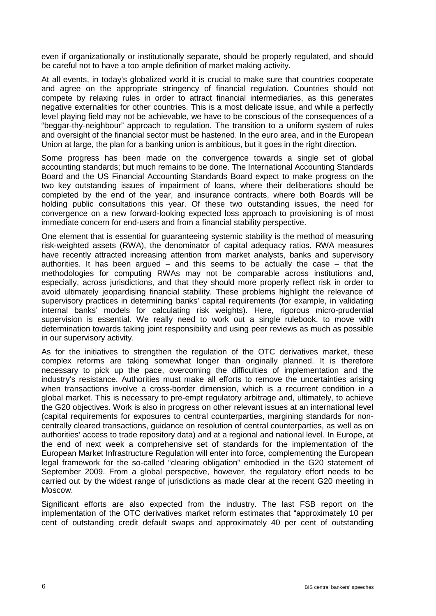even if organizationally or institutionally separate, should be properly regulated, and should be careful not to have a too ample definition of market making activity.

At all events, in today's globalized world it is crucial to make sure that countries cooperate and agree on the appropriate stringency of financial regulation. Countries should not compete by relaxing rules in order to attract financial intermediaries, as this generates negative externalities for other countries. This is a most delicate issue, and while a perfectly level playing field may not be achievable, we have to be conscious of the consequences of a "beggar-thy-neighbour" approach to regulation. The transition to a uniform system of rules and oversight of the financial sector must be hastened. In the euro area, and in the European Union at large, the plan for a banking union is ambitious, but it goes in the right direction.

Some progress has been made on the convergence towards a single set of global accounting standards; but much remains to be done. The International Accounting Standards Board and the US Financial Accounting Standards Board expect to make progress on the two key outstanding issues of impairment of loans, where their deliberations should be completed by the end of the year, and insurance contracts, where both Boards will be holding public consultations this year. Of these two outstanding issues, the need for convergence on a new forward-looking expected loss approach to provisioning is of most immediate concern for end-users and from a financial stability perspective.

One element that is essential for guaranteeing systemic stability is the method of measuring risk-weighted assets (RWA), the denominator of capital adequacy ratios. RWA measures have recently attracted increasing attention from market analysts, banks and supervisory authorities. It has been argued  $-$  and this seems to be actually the case  $-$  that the methodologies for computing RWAs may not be comparable across institutions and, especially, across jurisdictions, and that they should more properly reflect risk in order to avoid ultimately jeopardising financial stability. These problems highlight the relevance of supervisory practices in determining banks' capital requirements (for example, in validating internal banks' models for calculating risk weights). Here, rigorous micro-prudential supervision is essential. We really need to work out a single rulebook, to move with determination towards taking joint responsibility and using peer reviews as much as possible in our supervisory activity.

As for the initiatives to strengthen the regulation of the OTC derivatives market, these complex reforms are taking somewhat longer than originally planned. It is therefore necessary to pick up the pace, overcoming the difficulties of implementation and the industry's resistance. Authorities must make all efforts to remove the uncertainties arising when transactions involve a cross-border dimension, which is a recurrent condition in a global market. This is necessary to pre-empt regulatory arbitrage and, ultimately, to achieve the G20 objectives. Work is also in progress on other relevant issues at an international level (capital requirements for exposures to central counterparties, margining standards for noncentrally cleared transactions, guidance on resolution of central counterparties, as well as on authorities' access to trade repository data) and at a regional and national level. In Europe, at the end of next week a comprehensive set of standards for the implementation of the European Market Infrastructure Regulation will enter into force, complementing the European legal framework for the so-called "clearing obligation" embodied in the G20 statement of September 2009. From a global perspective, however, the regulatory effort needs to be carried out by the widest range of jurisdictions as made clear at the recent G20 meeting in Moscow.

Significant efforts are also expected from the industry. The last FSB report on the implementation of the OTC derivatives market reform estimates that "approximately 10 per cent of outstanding credit default swaps and approximately 40 per cent of outstanding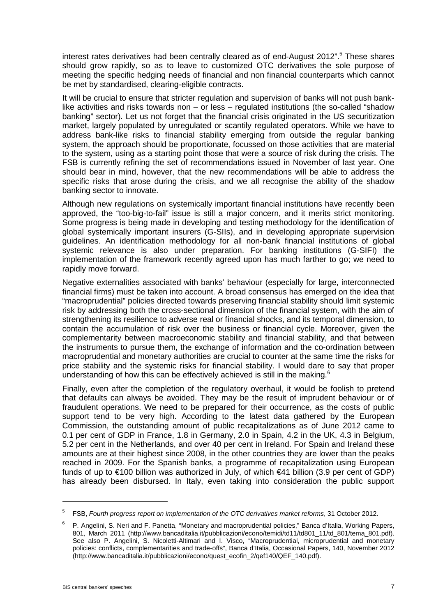interest rates derivatives had been centrally cleared as of end-August 2012". <sup>5</sup> These shares should grow rapidly, so as to leave to customized OTC derivatives the sole purpose of meeting the specific hedging needs of financial and non financial counterparts which cannot be met by standardised, clearing-eligible contracts.

It will be crucial to ensure that stricter regulation and supervision of banks will not push banklike activities and risks towards non – or less – regulated institutions (the so-called "shadow banking" sector). Let us not forget that the financial crisis originated in the US securitization market, largely populated by unregulated or scantily regulated operators. While we have to address bank-like risks to financial stability emerging from outside the regular banking system, the approach should be proportionate, focussed on those activities that are material to the system, using as a starting point those that were a source of risk during the crisis. The FSB is currently refining the set of recommendations issued in November of last year. One should bear in mind, however, that the new recommendations will be able to address the specific risks that arose during the crisis, and we all recognise the ability of the shadow banking sector to innovate.

Although new regulations on systemically important financial institutions have recently been approved, the "too-big-to-fail" issue is still a major concern, and it merits strict monitoring. Some progress is being made in developing and testing methodology for the identification of global systemically important insurers (G-SIIs), and in developing appropriate supervision guidelines. An identification methodology for all non-bank financial institutions of global systemic relevance is also under preparation. For banking institutions (G-SIFI) the implementation of the framework recently agreed upon has much farther to go; we need to rapidly move forward.

Negative externalities associated with banks' behaviour (especially for large, interconnected financial firms) must be taken into account. A broad consensus has emerged on the idea that "macroprudential" policies directed towards preserving financial stability should limit systemic risk by addressing both the cross-sectional dimension of the financial system, with the aim of strengthening its resilience to adverse real or financial shocks, and its temporal dimension, to contain the accumulation of risk over the business or financial cycle. Moreover, given the complementarity between macroeconomic stability and financial stability, and that between the instruments to pursue them, the exchange of information and the co-ordination between macroprudential and monetary authorities are crucial to counter at the same time the risks for price stability and the systemic risks for financial stability. I would dare to say that proper understanding of how this can be effectively achieved is still in the making. $6$ 

Finally, even after the completion of the regulatory overhaul, it would be foolish to pretend that defaults can always be avoided. They may be the result of imprudent behaviour or of fraudulent operations. We need to be prepared for their occurrence, as the costs of public support tend to be very high. According to the latest data gathered by the European Commission, the outstanding amount of public recapitalizations as of June 2012 came to 0.1 per cent of GDP in France, 1.8 in Germany, 2.0 in Spain, 4.2 in the UK, 4.3 in Belgium, 5.2 per cent in the Netherlands, and over 40 per cent in Ireland. For Spain and Ireland these amounts are at their highest since 2008, in the other countries they are lower than the peaks reached in 2009. For the Spanish banks, a programme of recapitalization using European funds of up to €100 billion was authorized in July, of which €41 billion (3.9 per cent of GDP) has already been disbursed. In Italy, even taking into consideration the public support

<sup>5</sup> FSB, *Fourth progress report on implementation of the OTC derivatives market reforms*, 31 October 2012.

<sup>6</sup> P. Angelini, S. Neri and F. Panetta, "Monetary and macroprudential policies," Banca d'Italia, Working Papers, 801, March 2011 (http://www.bancaditalia.it/pubblicazioni/econo/temidi/td11/td801\_11/td\_801/tema\_801.pdf). See also P. Angelini, S. Nicoletti-Altimari and I. Visco, "Macroprudential, microprudential and monetary policies: conflicts, complementarities and trade-offs", Banca d'Italia, Occasional Papers, 140, November 2012 (http://www.bancaditalia.it/pubblicazioni/econo/quest\_ecofin\_2/qef140/QEF\_140.pdf).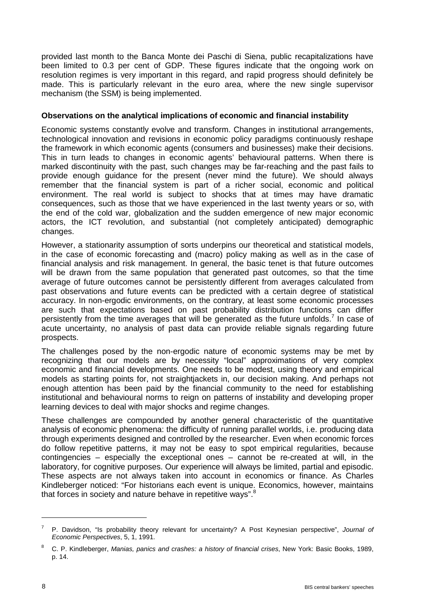provided last month to the Banca Monte dei Paschi di Siena, public recapitalizations have been limited to 0.3 per cent of GDP. These figures indicate that the ongoing work on resolution regimes is very important in this regard, and rapid progress should definitely be made. This is particularly relevant in the euro area, where the new single supervisor mechanism (the SSM) is being implemented.

#### **Observations on the analytical implications of economic and financial instability**

Economic systems constantly evolve and transform. Changes in institutional arrangements, technological innovation and revisions in economic policy paradigms continuously reshape the framework in which economic agents (consumers and businesses) make their decisions. This in turn leads to changes in economic agents' behavioural patterns. When there is marked discontinuity with the past, such changes may be far-reaching and the past fails to provide enough guidance for the present (never mind the future). We should always remember that the financial system is part of a richer social, economic and political environment. The real world is subject to shocks that at times may have dramatic consequences, such as those that we have experienced in the last twenty years or so, with the end of the cold war, globalization and the sudden emergence of new major economic actors, the ICT revolution, and substantial (not completely anticipated) demographic changes.

However, a stationarity assumption of sorts underpins our theoretical and statistical models, in the case of economic forecasting and (macro) policy making as well as in the case of financial analysis and risk management. In general, the basic tenet is that future outcomes will be drawn from the same population that generated past outcomes, so that the time average of future outcomes cannot be persistently different from averages calculated from past observations and future events can be predicted with a certain degree of statistical accuracy. In non-ergodic environments, on the contrary, at least some economic processes are such that expectations based on past probability distribution functions can differ persistently from the time averages that will be generated as the future unfolds.<sup>7</sup> In case of acute uncertainty, no analysis of past data can provide reliable signals regarding future prospects.

The challenges posed by the non-ergodic nature of economic systems may be met by recognizing that our models are by necessity "local" approximations of very complex economic and financial developments. One needs to be modest, using theory and empirical models as starting points for, not straightjackets in, our decision making. And perhaps not enough attention has been paid by the financial community to the need for establishing institutional and behavioural norms to reign on patterns of instability and developing proper learning devices to deal with major shocks and regime changes.

These challenges are compounded by another general characteristic of the quantitative analysis of economic phenomena: the difficulty of running parallel worlds, i.e. producing data through experiments designed and controlled by the researcher. Even when economic forces do follow repetitive patterns, it may not be easy to spot empirical regularities, because contingencies – especially the exceptional ones – cannot be re-created at will, in the laboratory, for cognitive purposes. Our experience will always be limited, partial and episodic. These aspects are not always taken into account in economics or finance. As Charles Kindleberger noticed: "For historians each event is unique. Economics, however, maintains that forces in society and nature behave in repetitive ways".<sup>8</sup>

<sup>7</sup> P. Davidson, "Is probability theory relevant for uncertainty? A Post Keynesian perspective", *Journal of Economic Perspectives*, 5, 1, 1991.

<sup>8</sup> C. P. Kindleberger, *Manias, panics and crashes: a history of financial crises*, New York: Basic Books, 1989, p. 14.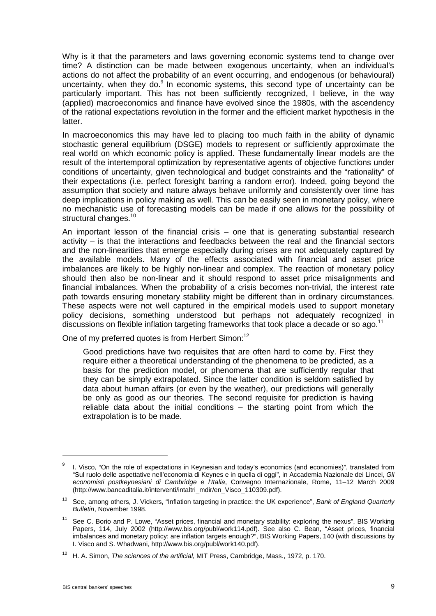Why is it that the parameters and laws governing economic systems tend to change over time? A distinction can be made between exogenous uncertainty, when an individual's actions do not affect the probability of an event occurring, and endogenous (or behavioural) uncertainty, when they do.<sup>9</sup> In economic systems, this second type of uncertainty can be particularly important. This has not been sufficiently recognized, I believe, in the way (applied) macroeconomics and finance have evolved since the 1980s, with the ascendency of the rational expectations revolution in the former and the efficient market hypothesis in the latter.

In macroeconomics this may have led to placing too much faith in the ability of dynamic stochastic general equilibrium (DSGE) models to represent or sufficiently approximate the real world on which economic policy is applied. These fundamentally linear models are the result of the intertemporal optimization by representative agents of objective functions under conditions of uncertainty, given technological and budget constraints and the "rationality" of their expectations (i.e. perfect foresight barring a random error). Indeed, going beyond the assumption that society and nature always behave uniformly and consistently over time has deep implications in policy making as well. This can be easily seen in monetary policy, where no mechanistic use of forecasting models can be made if one allows for the possibility of structural changes.<sup>10</sup>

An important lesson of the financial crisis – one that is generating substantial research activity – is that the interactions and feedbacks between the real and the financial sectors and the non-linearities that emerge especially during crises are not adequately captured by the available models. Many of the effects associated with financial and asset price imbalances are likely to be highly non-linear and complex. The reaction of monetary policy should then also be non-linear and it should respond to asset price misalignments and financial imbalances. When the probability of a crisis becomes non-trivial, the interest rate path towards ensuring monetary stability might be different than in ordinary circumstances. These aspects were not well captured in the empirical models used to support monetary policy decisions, something understood but perhaps not adequately recognized in discussions on flexible inflation targeting frameworks that took place a decade or so ago.<sup>11</sup>

One of my preferred quotes is from Herbert Simon:<sup>12</sup>

Good predictions have two requisites that are often hard to come by. First they require either a theoretical understanding of the phenomena to be predicted, as a basis for the prediction model, or phenomena that are sufficiently regular that they can be simply extrapolated. Since the latter condition is seldom satisfied by data about human affairs (or even by the weather), our predictions will generally be only as good as our theories. The second requisite for prediction is having reliable data about the initial conditions – the starting point from which the extrapolation is to be made.

<sup>&</sup>lt;sup>9</sup> I. Visco, "On the role of expectations in Keynesian and today's economics (and economies)", translated from "Sul ruolo delle aspettative nell'economia di Keynes e in quella di oggi", in Accademia Nazionale dei Lincei, *Gli economisti postkeynesiani di Cambridge e l'Italia*, Convegno Internazionale, Rome, 11–12 March 2009 (http://www.bancaditalia.it/interventi/intaltri\_mdir/en\_Visco\_110309.pdf).

<sup>10</sup> See, among others, J. Vickers, "Inflation targeting in practice: the UK experience", *Bank of England Quarterly Bulletin*, November 1998.

<sup>&</sup>lt;sup>11</sup> See C. Borio and P. Lowe, "Asset prices, financial and monetary stability: exploring the nexus", BIS Working Papers, 114, July 2002 (http://www.bis.org/publ/work114.pdf). See also C. Bean, "Asset prices, financial imbalances and monetary policy: are inflation targets enough?", BIS Working Papers, 140 (with discussions by I. Visco and S. Whadwani, http://www.bis.org/publ/work140.pdf).

<sup>12</sup> H. A. Simon, *The sciences of the artificial*, MIT Press, Cambridge, Mass., 1972, p. 170.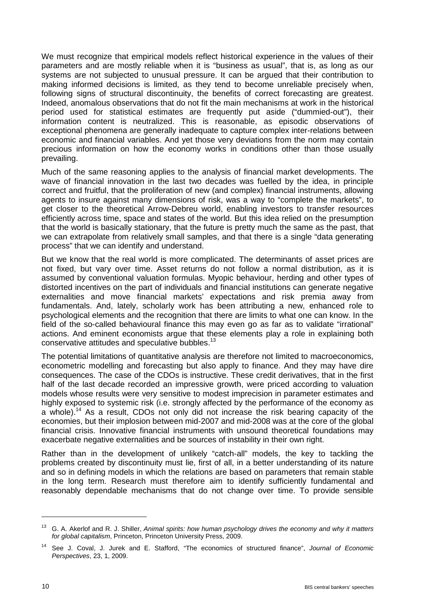We must recognize that empirical models reflect historical experience in the values of their parameters and are mostly reliable when it is "business as usual", that is, as long as our systems are not subjected to unusual pressure. It can be argued that their contribution to making informed decisions is limited, as they tend to become unreliable precisely when, following signs of structural discontinuity, the benefits of correct forecasting are greatest. Indeed, anomalous observations that do not fit the main mechanisms at work in the historical period used for statistical estimates are frequently put aside ("dummied-out"), their information content is neutralized. This is reasonable, as episodic observations of exceptional phenomena are generally inadequate to capture complex inter-relations between economic and financial variables. And yet those very deviations from the norm may contain precious information on how the economy works in conditions other than those usually prevailing.

Much of the same reasoning applies to the analysis of financial market developments. The wave of financial innovation in the last two decades was fuelled by the idea, in principle correct and fruitful, that the proliferation of new (and complex) financial instruments, allowing agents to insure against many dimensions of risk, was a way to "complete the markets", to get closer to the theoretical Arrow-Debreu world, enabling investors to transfer resources efficiently across time, space and states of the world. But this idea relied on the presumption that the world is basically stationary, that the future is pretty much the same as the past, that we can extrapolate from relatively small samples, and that there is a single "data generating process" that we can identify and understand.

But we know that the real world is more complicated. The determinants of asset prices are not fixed, but vary over time. Asset returns do not follow a normal distribution, as it is assumed by conventional valuation formulas. Myopic behaviour, herding and other types of distorted incentives on the part of individuals and financial institutions can generate negative externalities and move financial markets' expectations and risk premia away from fundamentals. And, lately, scholarly work has been attributing a new, enhanced role to psychological elements and the recognition that there are limits to what one can know. In the field of the so-called behavioural finance this may even go as far as to validate "irrational" actions. And eminent economists argue that these elements play a role in explaining both conservative attitudes and speculative bubbles.<sup>13</sup>

The potential limitations of quantitative analysis are therefore not limited to macroeconomics, econometric modelling and forecasting but also apply to finance. And they may have dire consequences. The case of the CDOs is instructive. These credit derivatives, that in the first half of the last decade recorded an impressive growth, were priced according to valuation models whose results were very sensitive to modest imprecision in parameter estimates and highly exposed to systemic risk (i.e. strongly affected by the performance of the economy as a whole).<sup>14</sup> As a result, CDOs not only did not increase the risk bearing capacity of the economies, but their implosion between mid-2007 and mid-2008 was at the core of the global financial crisis. Innovative financial instruments with unsound theoretical foundations may exacerbate negative externalities and be sources of instability in their own right.

Rather than in the development of unlikely "catch-all" models, the key to tackling the problems created by discontinuity must lie, first of all, in a better understanding of its nature and so in defining models in which the relations are based on parameters that remain stable in the long term. Research must therefore aim to identify sufficiently fundamental and reasonably dependable mechanisms that do not change over time. To provide sensible

<sup>13</sup> G. A. Akerlof and R. J. Shiller, *Animal spirits: how human psychology drives the economy and why it matters for global capitalism*, Princeton, Princeton University Press, 2009.

<sup>14</sup> See J. Coval, J. Jurek and E. Stafford, "The economics of structured finance", *Journal of Economic Perspectives*, 23, 1, 2009.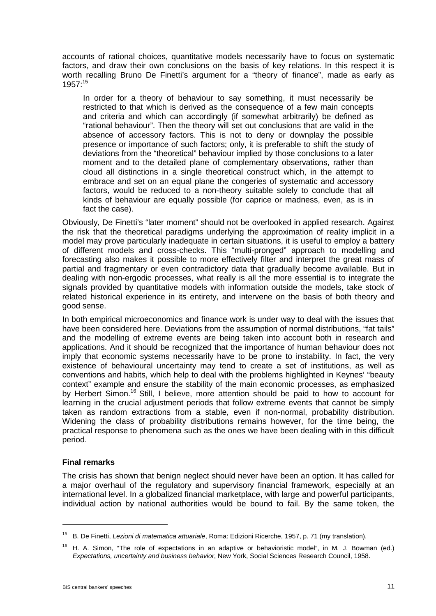accounts of rational choices, quantitative models necessarily have to focus on systematic factors, and draw their own conclusions on the basis of key relations. In this respect it is worth recalling Bruno De Finetti's argument for a "theory of finance", made as early as 1957:15

In order for a theory of behaviour to say something, it must necessarily be restricted to that which is derived as the consequence of a few main concepts and criteria and which can accordingly (if somewhat arbitrarily) be defined as "rational behaviour". Then the theory will set out conclusions that are valid in the absence of accessory factors. This is not to deny or downplay the possible presence or importance of such factors; only, it is preferable to shift the study of deviations from the "theoretical" behaviour implied by those conclusions to a later moment and to the detailed plane of complementary observations, rather than cloud all distinctions in a single theoretical construct which, in the attempt to embrace and set on an equal plane the congeries of systematic and accessory factors, would be reduced to a non-theory suitable solely to conclude that all kinds of behaviour are equally possible (for caprice or madness, even, as is in fact the case).

Obviously, De Finetti's "later moment" should not be overlooked in applied research. Against the risk that the theoretical paradigms underlying the approximation of reality implicit in a model may prove particularly inadequate in certain situations, it is useful to employ a battery of different models and cross-checks. This "multi-pronged" approach to modelling and forecasting also makes it possible to more effectively filter and interpret the great mass of partial and fragmentary or even contradictory data that gradually become available. But in dealing with non-ergodic processes, what really is all the more essential is to integrate the signals provided by quantitative models with information outside the models, take stock of related historical experience in its entirety, and intervene on the basis of both theory and good sense.

In both empirical microeconomics and finance work is under way to deal with the issues that have been considered here. Deviations from the assumption of normal distributions, "fat tails" and the modelling of extreme events are being taken into account both in research and applications. And it should be recognized that the importance of human behaviour does not imply that economic systems necessarily have to be prone to instability. In fact, the very existence of behavioural uncertainty may tend to create a set of institutions, as well as conventions and habits, which help to deal with the problems highlighted in Keynes' "beauty context" example and ensure the stability of the main economic processes, as emphasized by Herbert Simon.<sup>16</sup> Still, I believe, more attention should be paid to how to account for learning in the crucial adjustment periods that follow extreme events that cannot be simply taken as random extractions from a stable, even if non-normal, probability distribution. Widening the class of probability distributions remains however, for the time being, the practical response to phenomena such as the ones we have been dealing with in this difficult period.

## **Final remarks**

-

The crisis has shown that benign neglect should never have been an option. It has called for a major overhaul of the regulatory and supervisory financial framework, especially at an international level. In a globalized financial marketplace, with large and powerful participants, individual action by national authorities would be bound to fail. By the same token, the

<sup>15</sup> B. De Finetti, *Lezioni di matematica attuariale*, Roma: Edizioni Ricerche, 1957, p. 71 (my translation).

<sup>16</sup> H. A. Simon, "The role of expectations in an adaptive or behavioristic model", in M. J. Bowman (ed.) *Expectations, uncertainty and business behavior*, New York, Social Sciences Research Council, 1958.